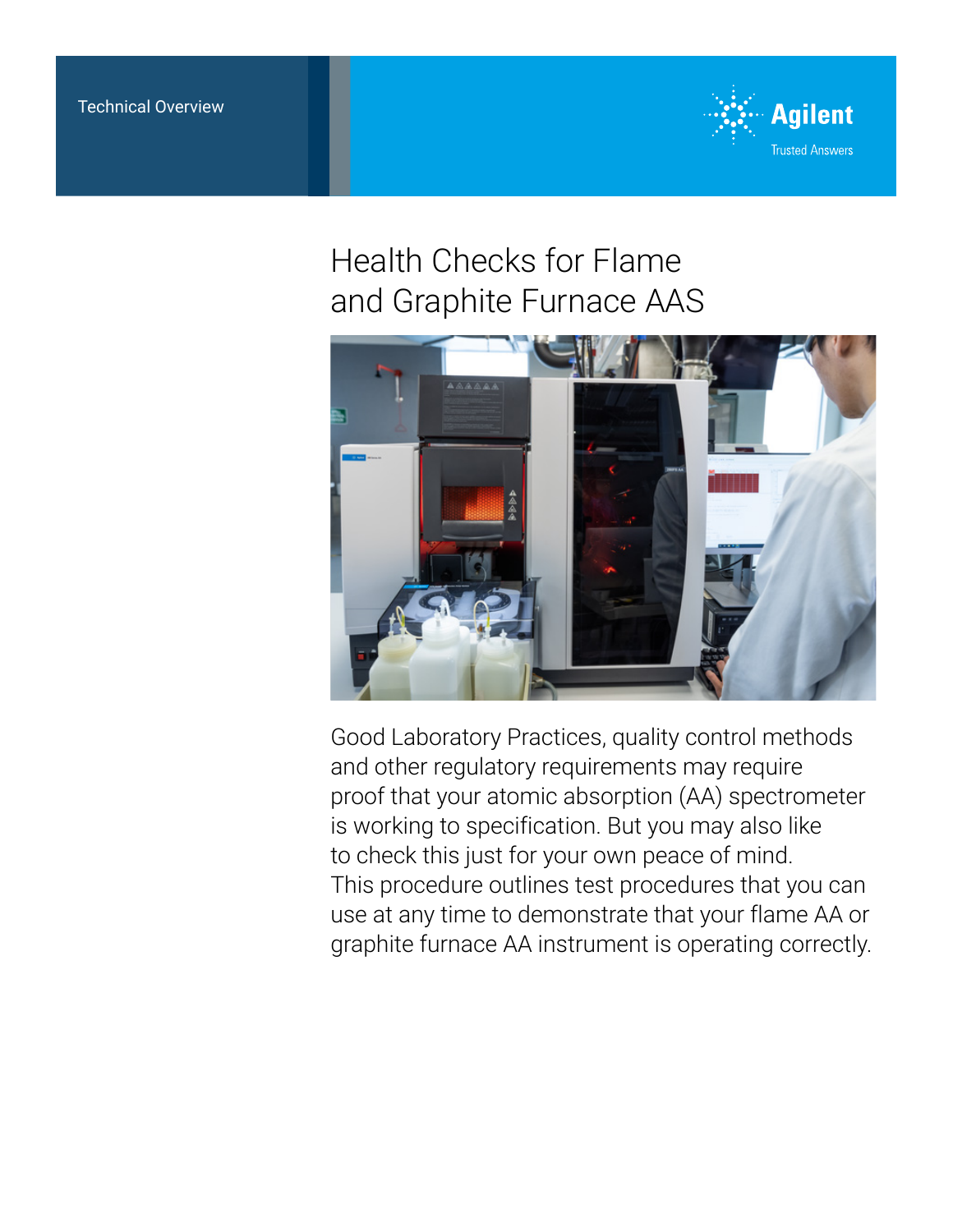

# Health Checks for Flame and Graphite Furnace AAS



Good Laboratory Practices, quality control methods and other regulatory requirements may require proof that your atomic absorption (AA) spectrometer is working to specification. But you may also like to check this just for your own peace of mind. This procedure outlines test procedures that you can use at any time to demonstrate that your flame AA or graphite furnace AA instrument is operating correctly.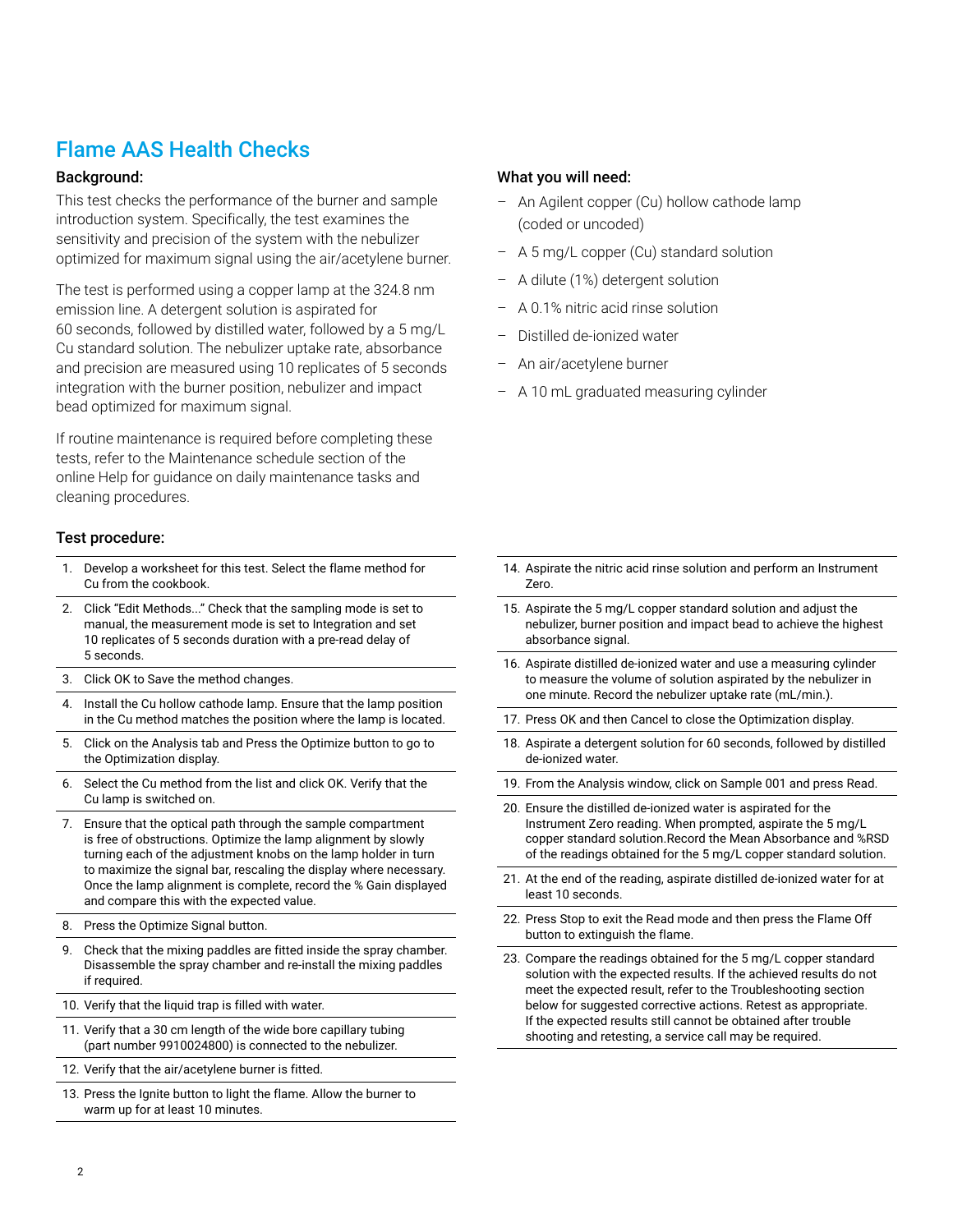# Flame AAS Health Checks

#### Background:

This test checks the performance of the burner and sample introduction system. Specifically, the test examines the sensitivity and precision of the system with the nebulizer optimized for maximum signal using the air/acetylene burner.

The test is performed using a copper lamp at the 324.8 nm emission line. A detergent solution is aspirated for 60 seconds, followed by distilled water, followed by a 5 mg/L Cu standard solution. The nebulizer uptake rate, absorbance and precision are measured using 10 replicates of 5 seconds integration with the burner position, nebulizer and impact bead optimized for maximum signal.

If routine maintenance is required before completing these tests, refer to the Maintenance schedule section of the online Help for guidance on daily maintenance tasks and cleaning procedures.

#### Test procedure:

- 1. Develop a worksheet for this test. Select the flame method for Cu from the cookbook.
- 2. Click "Edit Methods..." Check that the sampling mode is set to manual, the measurement mode is set to Integration and set 10 replicates of 5 seconds duration with a pre-read delay of 5 seconds.
- 3. Click OK to Save the method changes.
- 4. Install the Cu hollow cathode lamp. Ensure that the lamp position in the Cu method matches the position where the lamp is located.
- 5. Click on the Analysis tab and Press the Optimize button to go to the Optimization display.
- 6. Select the Cu method from the list and click OK. Verify that the Cu lamp is switched on.
- 7. Ensure that the optical path through the sample compartment is free of obstructions. Optimize the lamp alignment by slowly turning each of the adjustment knobs on the lamp holder in turn to maximize the signal bar, rescaling the display where necessary. Once the lamp alignment is complete, record the % Gain displayed and compare this with the expected value.
- 8. Press the Optimize Signal button.
- 9. Check that the mixing paddles are fitted inside the spray chamber. Disassemble the spray chamber and re-install the mixing paddles if required.
- 10. Verify that the liquid trap is filled with water.
- 11. Verify that a 30 cm length of the wide bore capillary tubing (part number 9910024800) is connected to the nebulizer.
- 12. Verify that the air/acetylene burner is fitted.
- 13. Press the Ignite button to light the flame. Allow the burner to warm up for at least 10 minutes.

#### What you will need:

- An Agilent copper (Cu) hollow cathode lamp (coded or uncoded)
- A 5 mg/L copper (Cu) standard solution
- A dilute (1%) detergent solution
- A 0.1% nitric acid rinse solution
- Distilled de-ionized water
- An air/acetylene burner
- A 10 mL graduated measuring cylinder

- 14. Aspirate the nitric acid rinse solution and perform an Instrument Zero.
- 15. Aspirate the 5 mg/L copper standard solution and adjust the nebulizer, burner position and impact bead to achieve the highest absorbance signal.
- 16. Aspirate distilled de-ionized water and use a measuring cylinder to measure the volume of solution aspirated by the nebulizer in one minute. Record the nebulizer uptake rate (mL/min.).
- 17. Press OK and then Cancel to close the Optimization display.
- 18. Aspirate a detergent solution for 60 seconds, followed by distilled de-ionized water.
- 19. From the Analysis window, click on Sample 001 and press Read.
- 20. Ensure the distilled de-ionized water is aspirated for the Instrument Zero reading. When prompted, aspirate the 5 mg/L copper standard solution.Record the Mean Absorbance and %RSD of the readings obtained for the 5 mg/L copper standard solution.
- 21. At the end of the reading, aspirate distilled de-ionized water for at least 10 seconds.
- 22. Press Stop to exit the Read mode and then press the Flame Off button to extinguish the flame.
- 23. Compare the readings obtained for the 5 mg/L copper standard solution with the expected results. If the achieved results do not meet the expected result, refer to the Troubleshooting section below for suggested corrective actions. Retest as appropriate. If the expected results still cannot be obtained after trouble shooting and retesting, a service call may be required.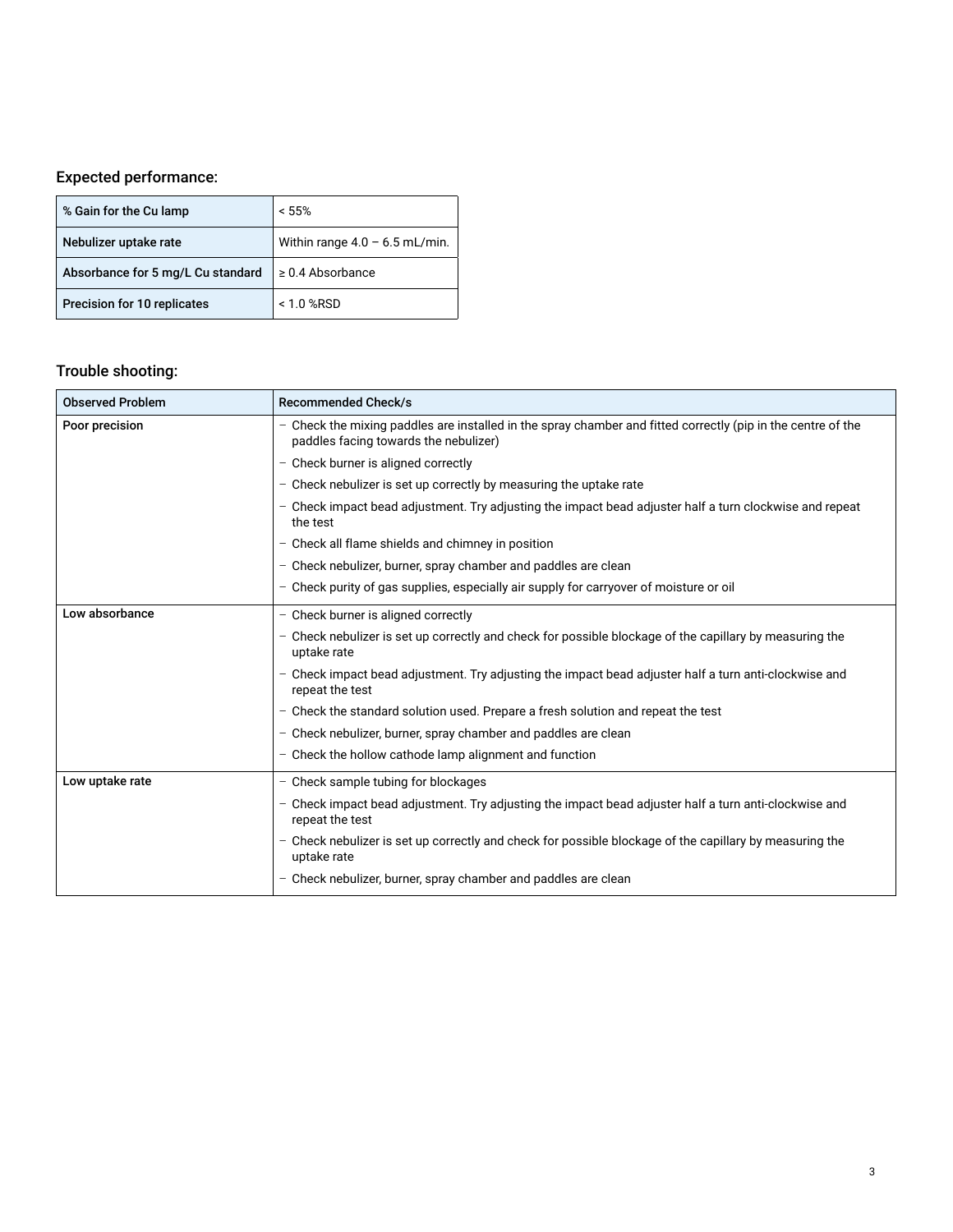### Expected performance:

| % Gain for the Cu lamp            | < 55%                            |
|-----------------------------------|----------------------------------|
| Nebulizer uptake rate             | Within range $4.0 - 6.5$ mL/min. |
| Absorbance for 5 mg/L Cu standard | $\geq$ 0.4 Absorbance            |
| Precision for 10 replicates       | $< 1.0$ %RSD                     |

### Trouble shooting:

| <b>Observed Problem</b> | <b>Recommended Check/s</b>                                                                                                                            |
|-------------------------|-------------------------------------------------------------------------------------------------------------------------------------------------------|
| Poor precision          | - Check the mixing paddles are installed in the spray chamber and fitted correctly (pip in the centre of the<br>paddles facing towards the nebulizer) |
|                         | - Check burner is aligned correctly                                                                                                                   |
|                         | - Check nebulizer is set up correctly by measuring the uptake rate                                                                                    |
|                         | - Check impact bead adjustment. Try adjusting the impact bead adjuster half a turn clockwise and repeat<br>the test                                   |
|                         | - Check all flame shields and chimney in position                                                                                                     |
|                         | - Check nebulizer, burner, spray chamber and paddles are clean                                                                                        |
|                         | - Check purity of gas supplies, especially air supply for carryover of moisture or oil                                                                |
| Low absorbance          | - Check burner is aligned correctly                                                                                                                   |
|                         | - Check nebulizer is set up correctly and check for possible blockage of the capillary by measuring the<br>uptake rate                                |
|                         | - Check impact bead adjustment. Try adjusting the impact bead adjuster half a turn anti-clockwise and<br>repeat the test                              |
|                         | - Check the standard solution used. Prepare a fresh solution and repeat the test                                                                      |
|                         | - Check nebulizer, burner, spray chamber and paddles are clean                                                                                        |
|                         | - Check the hollow cathode lamp alignment and function                                                                                                |
| Low uptake rate         | - Check sample tubing for blockages                                                                                                                   |
|                         | Check impact bead adjustment. Try adjusting the impact bead adjuster half a turn anti-clockwise and<br>repeat the test                                |
|                         | - Check nebulizer is set up correctly and check for possible blockage of the capillary by measuring the<br>uptake rate                                |
|                         | - Check nebulizer, burner, spray chamber and paddles are clean                                                                                        |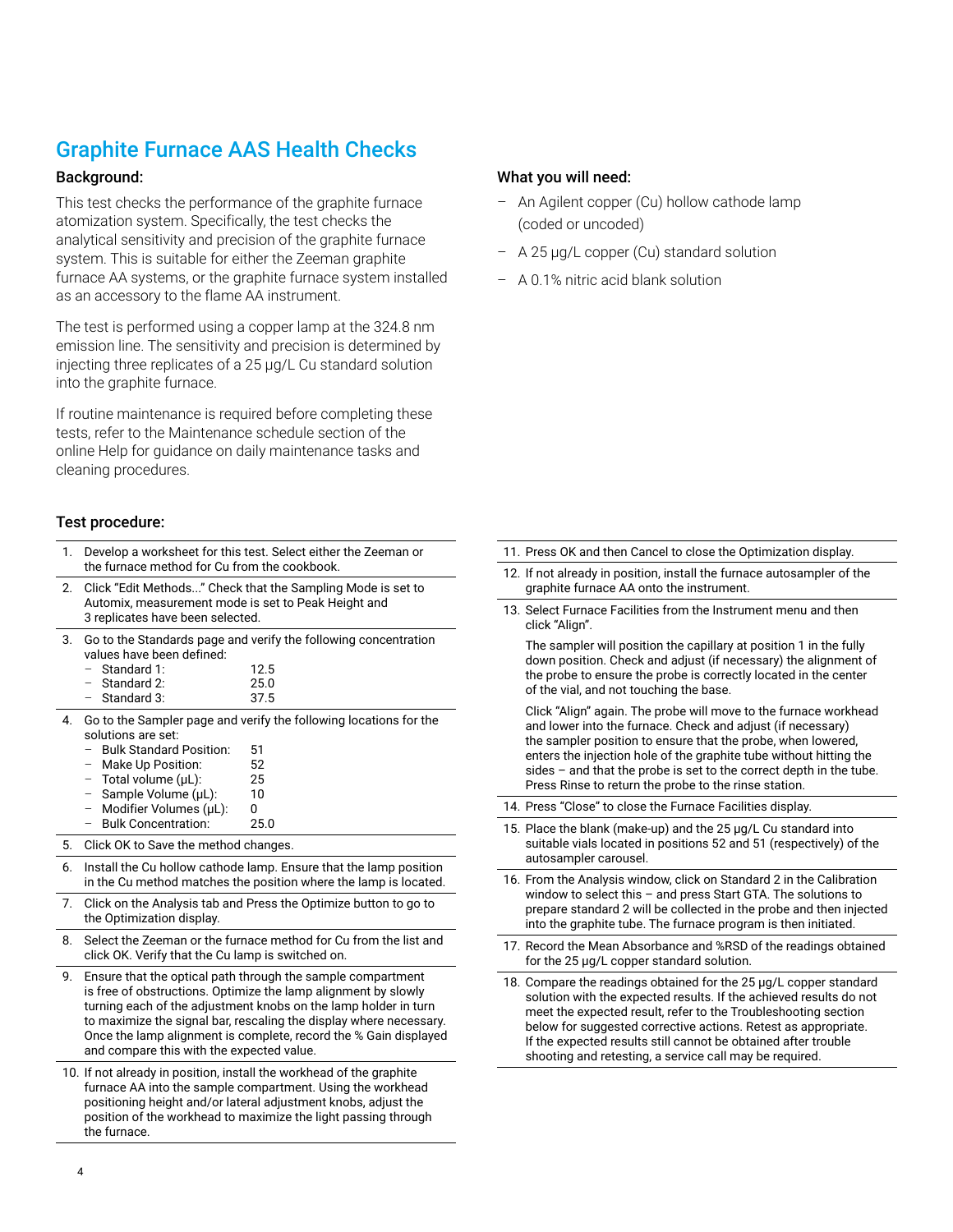## Graphite Furnace AAS Health Checks

#### Background:

This test checks the performance of the graphite furnace atomization system. Specifically, the test checks the analytical sensitivity and precision of the graphite furnace system. This is suitable for either the Zeeman graphite furnace AA systems, or the graphite furnace system installed as an accessory to the flame AA instrument.

The test is performed using a copper lamp at the 324.8 nm emission line. The sensitivity and precision is determined by injecting three replicates of a 25 μg/L Cu standard solution into the graphite furnace.

If routine maintenance is required before completing these tests, refer to the Maintenance schedule section of the online Help for guidance on daily maintenance tasks and cleaning procedures.

#### Test procedure:

| 1. | the furnace method for Cu from the cookbook.                                            | Develop a worksheet for this test. Select either the Zeeman or                                                                                                                                                                                                                                                                             |
|----|-----------------------------------------------------------------------------------------|--------------------------------------------------------------------------------------------------------------------------------------------------------------------------------------------------------------------------------------------------------------------------------------------------------------------------------------------|
| 2. | Automix, measurement mode is set to Peak Height and<br>3 replicates have been selected. | Click "Edit Methods" Check that the Sampling Mode is set to                                                                                                                                                                                                                                                                                |
| 3. | values have been defined:<br>Standard 1:<br>Standard 2:                                 | Go to the Standards page and verify the following concentration<br>12.5<br>25.0                                                                                                                                                                                                                                                            |
|    | Standard 3:                                                                             | 37.5                                                                                                                                                                                                                                                                                                                                       |
| 4. | solutions are set:<br><b>Bulk Standard Position:</b>                                    | Go to the Sampler page and verify the following locations for the<br>51                                                                                                                                                                                                                                                                    |
|    | Make Up Position:<br>-                                                                  | 52                                                                                                                                                                                                                                                                                                                                         |
|    | Total volume (µL):<br>-                                                                 | 25                                                                                                                                                                                                                                                                                                                                         |
|    | Sample Volume (µL):<br>$\qquad \qquad -$                                                | 10                                                                                                                                                                                                                                                                                                                                         |
|    | Modifier Volumes (µL):<br>$\qquad \qquad -$<br><b>Bulk Concentration:</b>               | 0                                                                                                                                                                                                                                                                                                                                          |
|    | $\qquad \qquad -$                                                                       | 25.0                                                                                                                                                                                                                                                                                                                                       |
| 5. | Click OK to Save the method changes.                                                    |                                                                                                                                                                                                                                                                                                                                            |
| 6. |                                                                                         | Install the Cu hollow cathode lamp. Ensure that the lamp position<br>in the Cu method matches the position where the lamp is located.                                                                                                                                                                                                      |
| 7. | the Optimization display.                                                               | Click on the Analysis tab and Press the Optimize button to go to                                                                                                                                                                                                                                                                           |
| 8. | click OK. Verify that the Cu lamp is switched on.                                       | Select the Zeeman or the furnace method for Cu from the list and                                                                                                                                                                                                                                                                           |
| 9. | and compare this with the expected value.                                               | Ensure that the optical path through the sample compartment<br>is free of obstructions. Optimize the lamp alignment by slowly<br>turning each of the adjustment knobs on the lamp holder in turn<br>to maximize the signal bar, rescaling the display where necessary.<br>Once the lamp alignment is complete, record the % Gain displayed |
|    |                                                                                         | 10. If not already in position, install the workhead of the graphite<br>furnace AA into the sample compartment. Using the workhead<br>positioning height and/or lateral adjustment knobs, adjust the                                                                                                                                       |

position of the workhead to maximize the light passing through

#### What you will need:

- An Agilent copper (Cu) hollow cathode lamp (coded or uncoded)
- A 25 μg/L copper (Cu) standard solution
- A 0.1% nitric acid blank solution

- 11. Press OK and then Cancel to close the Optimization display.
- 12. If not already in position, install the furnace autosampler of the graphite furnace AA onto the instrument.
- 13. Select Furnace Facilities from the Instrument menu and then click "Align".

 The sampler will position the capillary at position 1 in the fully down position. Check and adjust (if necessary) the alignment of the probe to ensure the probe is correctly located in the center of the vial, and not touching the base.

 Click "Align" again. The probe will move to the furnace workhead and lower into the furnace. Check and adjust (if necessary) the sampler position to ensure that the probe, when lowered, enters the injection hole of the graphite tube without hitting the sides – and that the probe is set to the correct depth in the tube. Press Rinse to return the probe to the rinse station.

- 14. Press "Close" to close the Furnace Facilities display.
- 15. Place the blank (make-up) and the 25 μg/L Cu standard into suitable vials located in positions 52 and 51 (respectively) of the autosampler carousel.
- 16. From the Analysis window, click on Standard 2 in the Calibration window to select this – and press Start GTA. The solutions to prepare standard 2 will be collected in the probe and then injected into the graphite tube. The furnace program is then initiated.
- 17. Record the Mean Absorbance and %RSD of the readings obtained for the 25 μg/L copper standard solution.
- 18. Compare the readings obtained for the 25 μg/L copper standard solution with the expected results. If the achieved results do not meet the expected result, refer to the Troubleshooting section below for suggested corrective actions. Retest as appropriate. If the expected results still cannot be obtained after trouble shooting and retesting, a service call may be required.

the furnace.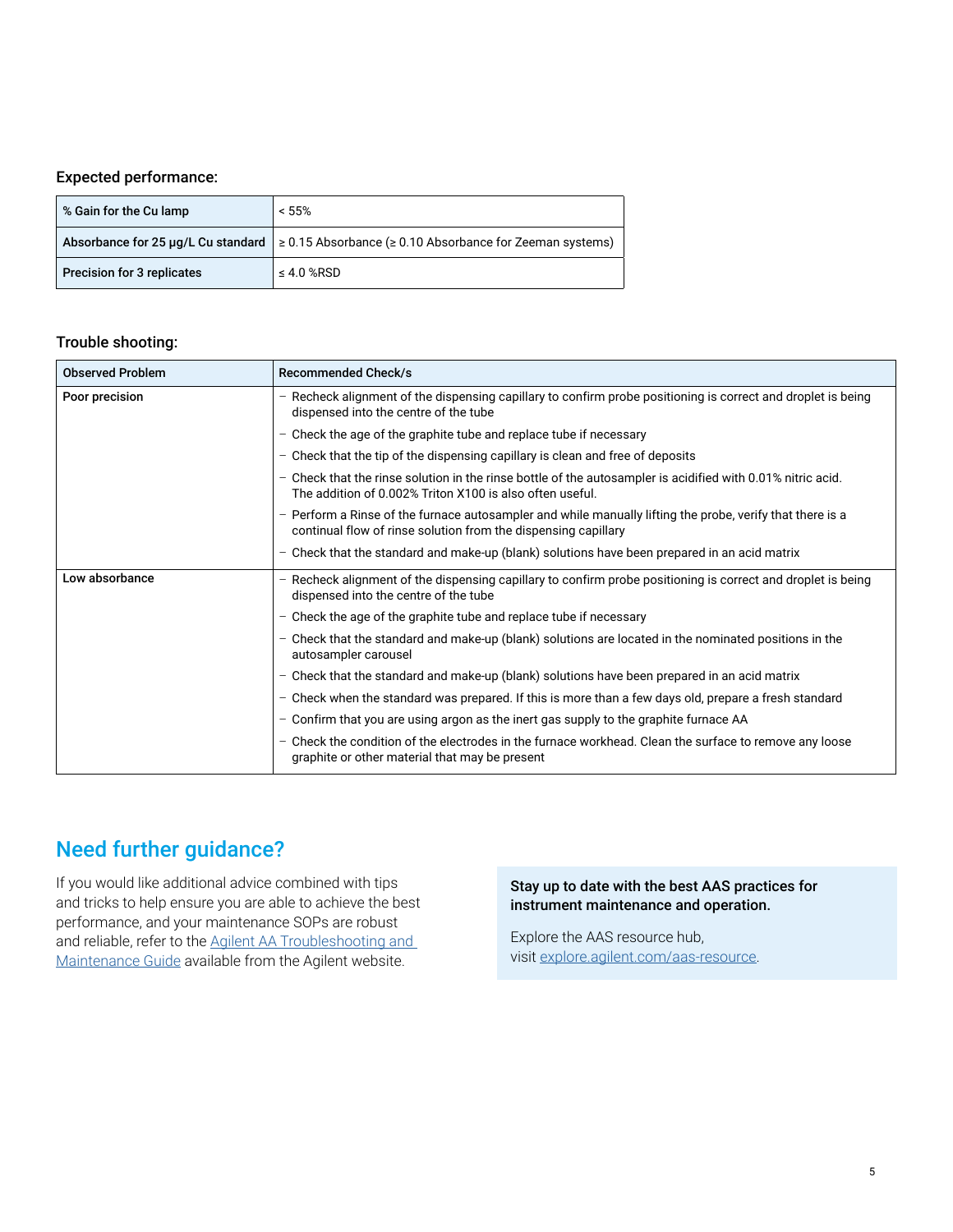#### Expected performance:

| % Gain for the Cu lamp     | < 55%                                                                                                  |
|----------------------------|--------------------------------------------------------------------------------------------------------|
|                            | Absorbance for 25 µg/L Cu standard $\geq 0.15$ Absorbance ( $\geq 0.10$ Absorbance for Zeeman systems) |
| Precision for 3 replicates | $\leq 4.0$ %RSD                                                                                        |

#### Trouble shooting:

| <b>Observed Problem</b> | <b>Recommended Check/s</b>                                                                                                                                                  |
|-------------------------|-----------------------------------------------------------------------------------------------------------------------------------------------------------------------------|
| Poor precision          | - Recheck alignment of the dispensing capillary to confirm probe positioning is correct and droplet is being<br>dispensed into the centre of the tube                       |
|                         | - Check the age of the graphite tube and replace tube if necessary                                                                                                          |
|                         | - Check that the tip of the dispensing capillary is clean and free of deposits                                                                                              |
|                         | - Check that the rinse solution in the rinse bottle of the autosampler is acidified with 0.01% nitric acid.<br>The addition of 0.002% Triton X100 is also often useful.     |
|                         | - Perform a Rinse of the furnace autosampler and while manually lifting the probe, verify that there is a<br>continual flow of rinse solution from the dispensing capillary |
|                         | - Check that the standard and make-up (blank) solutions have been prepared in an acid matrix                                                                                |
| Low absorbance          | - Recheck alignment of the dispensing capillary to confirm probe positioning is correct and droplet is being<br>dispensed into the centre of the tube                       |
|                         | - Check the age of the graphite tube and replace tube if necessary                                                                                                          |
|                         | - Check that the standard and make-up (blank) solutions are located in the nominated positions in the<br>autosampler carousel                                               |
|                         | - Check that the standard and make-up (blank) solutions have been prepared in an acid matrix                                                                                |
|                         | - Check when the standard was prepared. If this is more than a few days old, prepare a fresh standard                                                                       |
|                         | - Confirm that you are using argon as the inert gas supply to the graphite furnace AA                                                                                       |
|                         | - Check the condition of the electrodes in the furnace workhead. Clean the surface to remove any loose<br>graphite or other material that may be present                    |

# Need further guidance?

If you would like additional advice combined with tips and tricks to help ensure you are able to achieve the best performance, and your maintenance SOPs are robust and reliable, refer to the Agilent AA Troubleshooting and [Maintenance Guide](https://www.agilent.com/cs/library/troubleshootingguide/public/technicaloverview-AA-guide-5994-0858EN-agilent.pdf) available from the Agilent website.

#### Stay up to date with the best AAS practices for instrument maintenance and operation.

Explore the AAS resource hub, visit [explore.agilent.com/aas-resource](http://explore.agilent.com/aas-resource).